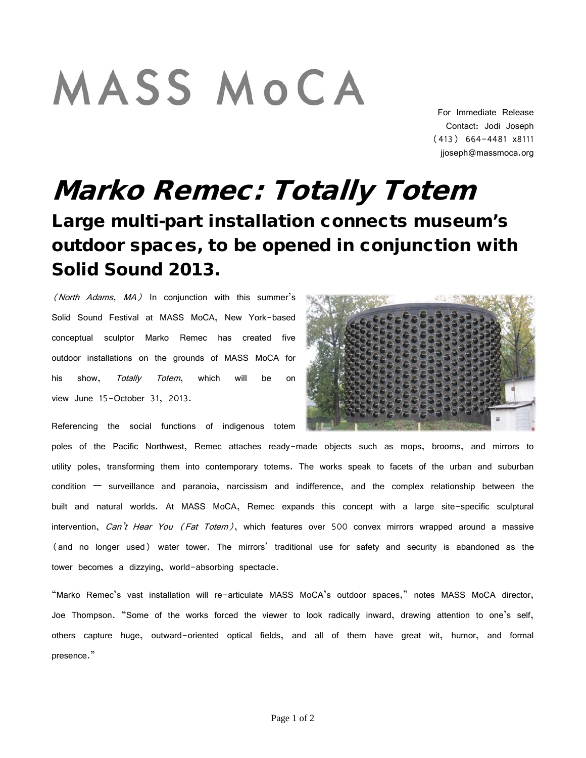## MASS MOCA

For Immediate Release Contact: Jodi Joseph (413) 664-4481 x8111 jjoseph@massmoca.org

## Marko Remec: Totally Totem Large multi-part installation connects museum's outdoor spaces, to be opened in conjunction with Solid Sound 2013.

(North Adams,  $MA$ ) In conjunction with this summer's Solid Sound Festival at MASS MoCA, New York-based conceptual sculptor Marko Remec has created five outdoor installations on the grounds of MASS MoCA for his show, *Totally Totem*, which will be on view June 15-October 31, 2013.

Referencing the social functions of indigenous totem

poles of the Pacific Northwest, Remec attaches ready-made objects such as mops, brooms, and mirrors to utility poles, transforming them into contemporary totems. The works speak to facets of the urban and suburban condition — surveillance and paranoia, narcissism and indifference, and the complex relationship between the built and natural worlds. At MASS MoCA, Remec expands this concept with a large site-specific sculptural intervention, Can't Hear You (Fat Totem), which features over 500 convex mirrors wrapped around a massive (and no longer used) water tower. The mirrors' traditional use for safety and security is abandoned as the tower becomes a dizzying, world-absorbing spectacle.

"Marko Remec's vast installation will re-articulate MASS MoCA's outdoor spaces," notes MASS MoCA director, Joe Thompson. "Some of the works forced the viewer to look radically inward, drawing attention to one's self, others capture huge, outward-oriented optical fields, and all of them have great wit, humor, and formal presence."